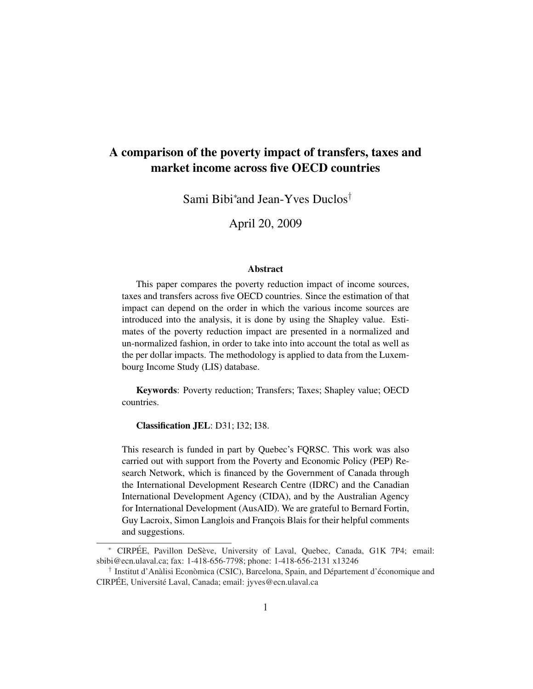## A comparison of the poverty impact of transfers, taxes and market income across five OECD countries

Sami Bibi<sup>∗</sup> and Jean-Yves Duclos†

April 20, 2009

#### Abstract

This paper compares the poverty reduction impact of income sources, taxes and transfers across five OECD countries. Since the estimation of that impact can depend on the order in which the various income sources are introduced into the analysis, it is done by using the Shapley value. Estimates of the poverty reduction impact are presented in a normalized and un-normalized fashion, in order to take into into account the total as well as the per dollar impacts. The methodology is applied to data from the Luxembourg Income Study (LIS) database.

Keywords: Poverty reduction; Transfers; Taxes; Shapley value; OECD countries.

Classification JEL: D31; I32; I38.

This research is funded in part by Quebec's FQRSC. This work was also carried out with support from the Poverty and Economic Policy (PEP) Research Network, which is financed by the Government of Canada through the International Development Research Centre (IDRC) and the Canadian International Development Agency (CIDA), and by the Australian Agency for International Development (AusAID). We are grateful to Bernard Fortin, Guy Lacroix, Simon Langlois and François Blais for their helpful comments and suggestions.

<sup>\*</sup> CIRPÉE, Pavillon DeSève, University of Laval, Quebec, Canada, G1K 7P4; email: sbibi@ecn.ulaval.ca; fax: 1-418-656-7798; phone: 1-418-656-2131 x13246

<sup>&</sup>lt;sup>†</sup> Institut d'Anàlisi Econòmica (CSIC), Barcelona, Spain, and Département d'économique and CIRPÉE, Université Laval, Canada; email: jyves@ecn.ulaval.ca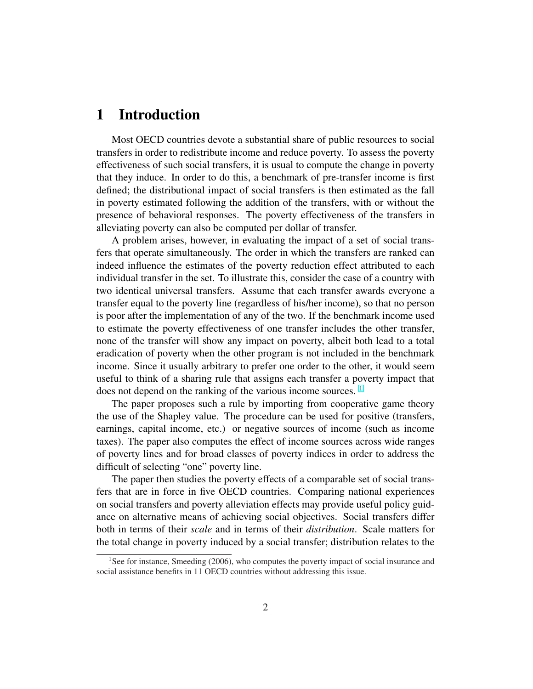## 1 Introduction

Most OECD countries devote a substantial share of public resources to social transfers in order to redistribute income and reduce poverty. To assess the poverty effectiveness of such social transfers, it is usual to compute the change in poverty that they induce. In order to do this, a benchmark of pre-transfer income is first defined; the distributional impact of social transfers is then estimated as the fall in poverty estimated following the addition of the transfers, with or without the presence of behavioral responses. The poverty effectiveness of the transfers in alleviating poverty can also be computed per dollar of transfer.

A problem arises, however, in evaluating the impact of a set of social transfers that operate simultaneously. The order in which the transfers are ranked can indeed influence the estimates of the poverty reduction effect attributed to each individual transfer in the set. To illustrate this, consider the case of a country with two identical universal transfers. Assume that each transfer awards everyone a transfer equal to the poverty line (regardless of his/her income), so that no person is poor after the implementation of any of the two. If the benchmark income used to estimate the poverty effectiveness of one transfer includes the other transfer, none of the transfer will show any impact on poverty, albeit both lead to a total eradication of poverty when the other program is not included in the benchmark income. Since it usually arbitrary to prefer one order to the other, it would seem useful to think of a sharing rule that assigns each transfer a poverty impact that does not depend on the ranking of the various income sources.<sup>1</sup>

The paper proposes such a rule by importing from cooperative game theory the use of the Shapley value. The procedure can be used for positive (transfers, earnings, capital income, etc.) or negative sources of income (such as income taxes). The paper also computes the effect of income sources across wide ranges of poverty lines and for broad classes of poverty indices in order to address the difficult of selecting "one" poverty line.

The paper then studies the poverty effects of a comparable set of social transfers that are in force in five OECD countries. Comparing national experiences on social transfers and poverty alleviation effects may provide useful policy guidance on alternative means of achieving social objectives. Social transfers differ both in terms of their *scale* and in terms of their *distribution*. Scale matters for the total change in poverty induced by a social transfer; distribution relates to the

<sup>&</sup>lt;sup>1</sup>See for instance, Smeeding (2006), who computes the poverty impact of social insurance and social assistance benefits in 11 OECD countries without addressing this issue.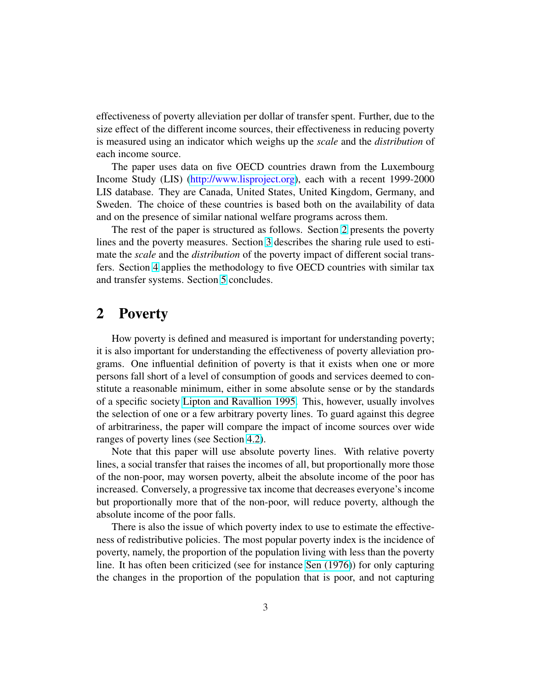effectiveness of poverty alleviation per dollar of transfer spent. Further, due to the size effect of the different income sources, their effectiveness in reducing poverty is measured using an indicator which weighs up the *scale* and the *distribution* of each income source.

The paper uses data on five OECD countries drawn from the Luxembourg Income Study (LIS) [\(http://www.lisproject.org\)](http://www.lisproject.org), each with a recent 1999-2000 LIS database. They are Canada, United States, United Kingdom, Germany, and Sweden. The choice of these countries is based both on the availability of data and on the presence of similar national welfare programs across them.

The rest of the paper is structured as follows. Section 2 presents the poverty lines and the poverty measures. Section [3](#page-3-0) describes the sharing rule used to estimate the *scale* and the *distribution* of the poverty impact of different social transfers. Section [4](#page-6-0) applies the methodology to five OECD countries with similar tax and transfer systems. Section [5](#page-11-0) concludes.

## 2 Poverty

How poverty is defined and measured is important for understanding poverty; it is also important for understanding the effectiveness of poverty alleviation programs. One influential definition of poverty is that it exists when one or more persons fall short of a level of consumption of goods and services deemed to constitute a reasonable minimum, either in some absolute sense or by the standards of a specific society [Lipton and Ravallion 1995.](#page-13-0) This, however, usually involves the selection of one or a few arbitrary poverty lines. To guard against this degree of arbitrariness, the paper will compare the impact of income sources over wide ranges of poverty lines (see Section [4.2\)](#page-10-0).

Note that this paper will use absolute poverty lines. With relative poverty lines, a social transfer that raises the incomes of all, but proportionally more those of the non-poor, may worsen poverty, albeit the absolute income of the poor has increased. Conversely, a progressive tax income that decreases everyone's income but proportionally more that of the non-poor, will reduce poverty, although the absolute income of the poor falls.

There is also the issue of which poverty index to use to estimate the effectiveness of redistributive policies. The most popular poverty index is the incidence of poverty, namely, the proportion of the population living with less than the poverty line. It has often been criticized (see for instance [Sen \(1976\)](#page-13-0)) for only capturing the changes in the proportion of the population that is poor, and not capturing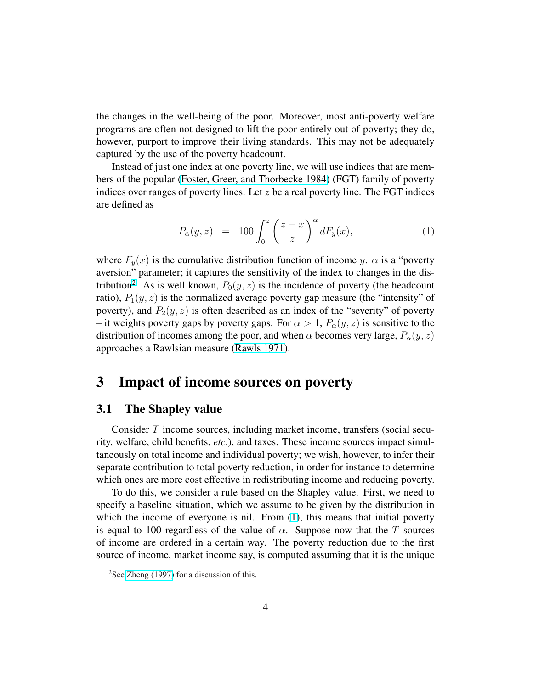<span id="page-3-0"></span>the changes in the well-being of the poor. Moreover, most anti-poverty welfare programs are often not designed to lift the poor entirely out of poverty; they do, however, purport to improve their living standards. This may not be adequately captured by the use of the poverty headcount.

Instead of just one index at one poverty line, we will use indices that are members of the popular [\(Foster, Greer, and Thorbecke 1984\)](#page-13-0) (FGT) family of poverty indices over ranges of poverty lines. Let  $z$  be a real poverty line. The FGT indices are defined as

$$
P_{\alpha}(y, z) = 100 \int_0^z \left(\frac{z - x}{z}\right)^{\alpha} dF_y(x), \qquad (1)
$$

where  $F_y(x)$  is the cumulative distribution function of income y.  $\alpha$  is a "poverty" aversion" parameter; it captures the sensitivity of the index to changes in the distribution<sup>2</sup>. As is well known,  $P_0(y, z)$  is the incidence of poverty (the headcount ratio),  $P_1(y, z)$  is the normalized average poverty gap measure (the "intensity" of poverty), and  $P_2(y, z)$  is often described as an index of the "severity" of poverty – it weights poverty gaps by poverty gaps. For  $\alpha > 1$ ,  $P_{\alpha}(y, z)$  is sensitive to the distribution of incomes among the poor, and when  $\alpha$  becomes very large,  $P_{\alpha}(y, z)$ approaches a Rawlsian measure [\(Rawls 1971\)](#page-13-0).

## 3 Impact of income sources on poverty

#### 3.1 The Shapley value

Consider T income sources, including market income, transfers (social security, welfare, child benefits, *etc*.), and taxes. These income sources impact simultaneously on total income and individual poverty; we wish, however, to infer their separate contribution to total poverty reduction, in order for instance to determine which ones are more cost effective in redistributing income and reducing poverty.

To do this, we consider a rule based on the Shapley value. First, we need to specify a baseline situation, which we assume to be given by the distribution in which the income of everyone is nil. From  $(1)$ , this means that initial poverty is equal to 100 regardless of the value of  $\alpha$ . Suppose now that the T sources of income are ordered in a certain way. The poverty reduction due to the first source of income, market income say, is computed assuming that it is the unique

<sup>&</sup>lt;sup>2</sup>See [Zheng \(1997\)](#page-13-0) for a discussion of this.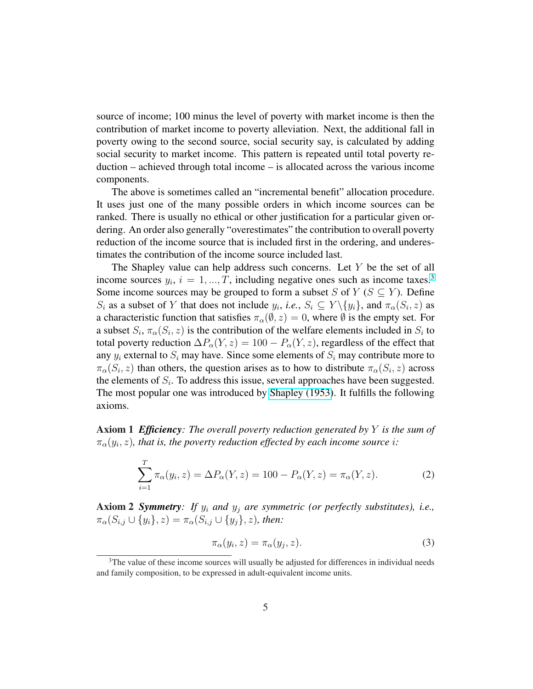source of income; 100 minus the level of poverty with market income is then the contribution of market income to poverty alleviation. Next, the additional fall in poverty owing to the second source, social security say, is calculated by adding social security to market income. This pattern is repeated until total poverty reduction – achieved through total income – is allocated across the various income components.

The above is sometimes called an "incremental benefit" allocation procedure. It uses just one of the many possible orders in which income sources can be ranked. There is usually no ethical or other justification for a particular given ordering. An order also generally "overestimates" the contribution to overall poverty reduction of the income source that is included first in the ordering, and underestimates the contribution of the income source included last.

The Shapley value can help address such concerns. Let  $Y$  be the set of all income sources  $y_i$ ,  $i = 1, ..., T$ , including negative ones such as income taxes.<sup>3</sup> Some income sources may be grouped to form a subset S of Y ( $S \subset Y$ ). Define  $S_i$  as a subset of Y that does not include  $y_i$ , *i.e.*,  $S_i \subseteq Y \setminus \{y_i\}$ , and  $\pi_\alpha(S_i, z)$  as a characteristic function that satisfies  $\pi_{\alpha}(\emptyset, z) = 0$ , where  $\emptyset$  is the empty set. For a subset  $S_i$ ,  $\pi_\alpha(S_i, z)$  is the contribution of the welfare elements included in  $S_i$  to total poverty reduction  $\Delta P_{\alpha}(Y, z) = 100 - P_{\alpha}(Y, z)$ , regardless of the effect that any  $y_i$  external to  $S_i$  may have. Since some elements of  $S_i$  may contribute more to  $\pi_{\alpha}(S_i, z)$  than others, the question arises as to how to distribute  $\pi_{\alpha}(S_i, z)$  across the elements of  $S_i$ . To address this issue, several approaches have been suggested. The most popular one was introduced by [Shapley \(1953\)](#page-13-0). It fulfills the following axioms.

Axiom 1 *Efficiency: The overall poverty reduction generated by* Y *is the sum of*  $\pi_\alpha(y_i, z)$ , that is, the poverty reduction effected by each income source i:

$$
\sum_{i=1}^{T} \pi_{\alpha}(y_i, z) = \Delta P_{\alpha}(Y, z) = 100 - P_{\alpha}(Y, z) = \pi_{\alpha}(Y, z).
$$
 (2)

Axiom 2 *Symmetry: If* y<sup>i</sup> *and* y<sup>j</sup> *are symmetric (or perfectly substitutes), i.e.,*  $\pi_{\alpha}(S_{i,j} \cup \{y_i\}, z) = \pi_{\alpha}(S_{i,j} \cup \{y_j\}, z)$ , then:

$$
\pi_{\alpha}(y_i, z) = \pi_{\alpha}(y_j, z). \tag{3}
$$

<sup>&</sup>lt;sup>3</sup>The value of these income sources will usually be adjusted for differences in individual needs and family composition, to be expressed in adult-equivalent income units.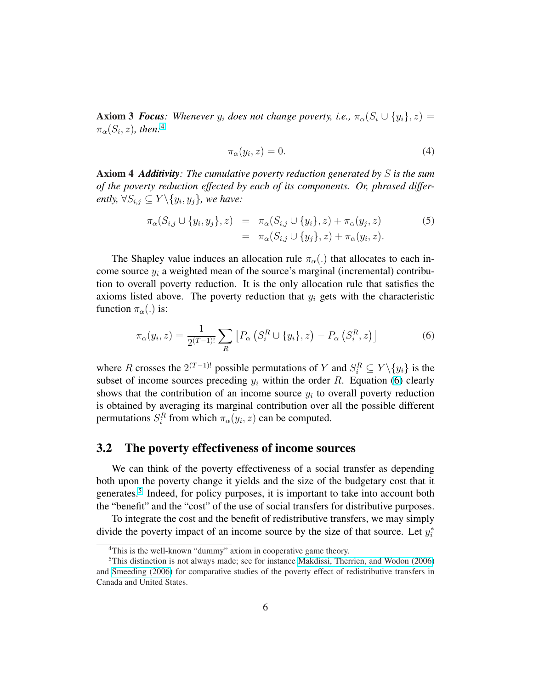<span id="page-5-0"></span>**Axiom 3** *Focus*: Whenever  $y_i$  does not change poverty, i.e.,  $\pi_\alpha(S_i \cup \{y_i\}, z) =$  $\pi_\alpha(S_i, z)$ , then:<sup>4</sup>

$$
\pi_{\alpha}(y_i, z) = 0. \tag{4}
$$

Axiom 4 *Additivity: The cumulative poverty reduction generated by* S *is the sum of the poverty reduction effected by each of its components. Or, phrased differently,*  $\forall S_{i,j} \subseteq Y \setminus \{y_i, y_j\}$ *, we have:* 

$$
\pi_{\alpha}(S_{i,j} \cup \{y_i, y_j\}, z) = \pi_{\alpha}(S_{i,j} \cup \{y_i\}, z) + \pi_{\alpha}(y_j, z)
$$
(5)  
=  $\pi_{\alpha}(S_{i,j} \cup \{y_j\}, z) + \pi_{\alpha}(y_i, z).$ 

The Shapley value induces an allocation rule  $\pi_{\alpha}$ (.) that allocates to each income source  $y_i$  a weighted mean of the source's marginal (incremental) contribution to overall poverty reduction. It is the only allocation rule that satisfies the axioms listed above. The poverty reduction that  $y_i$  gets with the characteristic function  $\pi_{\alpha}$ (.) is:

$$
\pi_{\alpha}(y_i, z) = \frac{1}{2^{(T-1)!}} \sum_{R} \left[ P_{\alpha} \left( S_i^R \cup \{ y_i \}, z \right) - P_{\alpha} \left( S_i^R, z \right) \right]
$$
(6)

where R crosses the  $2^{(T-1)!}$  possible permutations of Y and  $S_i^R \subseteq Y \setminus \{y_i\}$  is the subset of income sources preceding  $y_i$  within the order R. Equation (6) clearly shows that the contribution of an income source  $y_i$  to overall poverty reduction is obtained by averaging its marginal contribution over all the possible different permutations  $S_i^R$  from which  $\pi_\alpha(y_i, z)$  can be computed.

### 3.2 The poverty effectiveness of income sources

We can think of the poverty effectiveness of a social transfer as depending both upon the poverty change it yields and the size of the budgetary cost that it generates.<sup>5</sup> Indeed, for policy purposes, it is important to take into account both the "benefit" and the "cost" of the use of social transfers for distributive purposes.

To integrate the cost and the benefit of redistributive transfers, we may simply divide the poverty impact of an income source by the size of that source. Let  $y_i^*$ 

<sup>&</sup>lt;sup>4</sup>This is the well-known "dummy" axiom in cooperative game theory.

 $5$ This distinction is not always made; see for instance [Makdissi, Therrien, and Wodon \(2006\)](#page-13-0) and [Smeeding \(2006\)](#page-13-0) for comparative studies of the poverty effect of redistributive transfers in Canada and United States.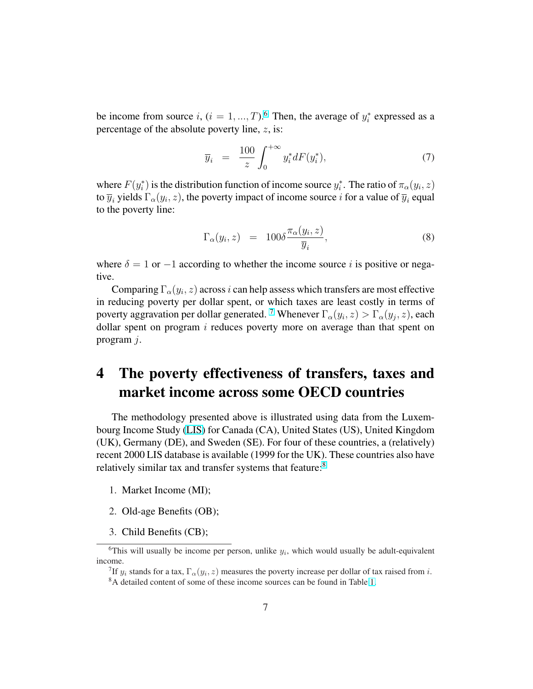<span id="page-6-0"></span>be income from source i,  $(i = 1, ..., T)$ .<sup>6</sup> Then, the average of  $y_i^*$  expressed as a percentage of the absolute poverty line,  $z$ , is:

$$
\overline{y}_i = \frac{100}{z} \int_0^{+\infty} y_i^* dF(y_i^*), \tag{7}
$$

where  $F(y_i^*)$  is the distribution function of income source  $y_i^*$ . The ratio of  $\pi_\alpha(y_i, z)$ to  $\overline{y}_i$  yields  $\Gamma_\alpha(y_i,z)$ , the poverty impact of income source  $i$  for a value of  $\overline{y}_i$  equal to the poverty line:

$$
\Gamma_{\alpha}(y_i, z) = 100\delta \frac{\pi_{\alpha}(y_i, z)}{\overline{y}_i}, \qquad (8)
$$

where  $\delta = 1$  or  $-1$  according to whether the income source i is positive or negative.

Comparing  $\Gamma_{\alpha}(y_i, z)$  across i can help assess which transfers are most effective in reducing poverty per dollar spent, or which taxes are least costly in terms of poverty aggravation per dollar generated. <sup>7</sup> Whenever  $\Gamma_{\alpha}(y_i, z) > \Gamma_{\alpha}(y_j, z)$ , each dollar spent on program  $i$  reduces poverty more on average than that spent on program j.

# 4 The poverty effectiveness of transfers, taxes and market income across some OECD countries

The methodology presented above is illustrated using data from the Luxembourg Income Study [\(LIS\)](http://www.lisproject.org) for Canada (CA), United States (US), United Kingdom (UK), Germany (DE), and Sweden (SE). For four of these countries, a (relatively) recent 2000 LIS database is available (1999 for the UK). These countries also have relatively similar tax and transfer systems that feature:<sup>8</sup>

- 1. Market Income (MI);
- 2. Old-age Benefits (OB);
- 3. Child Benefits (CB);

<sup>&</sup>lt;sup>6</sup>This will usually be income per person, unlike  $y_i$ , which would usually be adult-equivalent income.

<sup>&</sup>lt;sup>7</sup>If  $y_i$  stands for a tax,  $\Gamma_\alpha(y_i, z)$  measures the poverty increase per dollar of tax raised from i. <sup>8</sup>A detailed content of some of these income sources can be found in Table [1.](#page-14-0)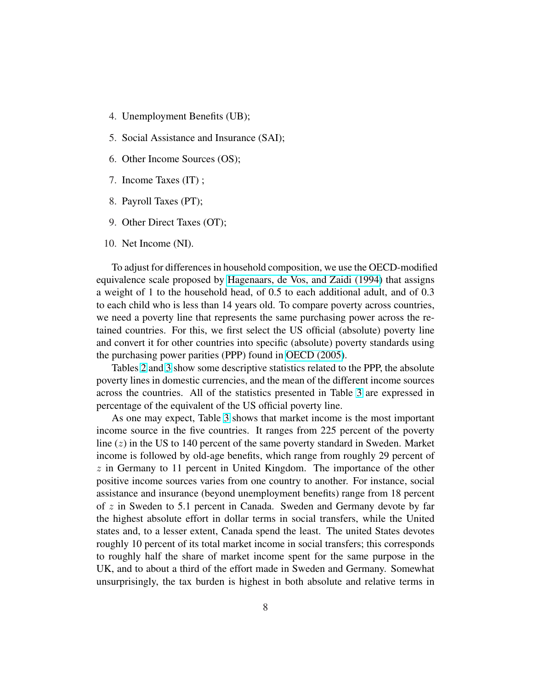- 4. Unemployment Benefits (UB);
- 5. Social Assistance and Insurance (SAI);
- 6. Other Income Sources (OS);
- 7. Income Taxes (IT) ;
- 8. Payroll Taxes (PT);
- 9. Other Direct Taxes (OT);
- 10. Net Income (NI).

To adjust for differences in household composition, we use the OECD-modified equivalence scale proposed by [Hagenaars, de Vos, and Zaidi \(1994\)](#page-13-0) that assigns a weight of 1 to the household head, of 0.5 to each additional adult, and of 0.3 to each child who is less than 14 years old. To compare poverty across countries, we need a poverty line that represents the same purchasing power across the retained countries. For this, we first select the US official (absolute) poverty line and convert it for other countries into specific (absolute) poverty standards using the purchasing power parities (PPP) found in [OECD \(2005\)](#page-13-0).

Tables [2](#page-15-0) and [3](#page-16-0) show some descriptive statistics related to the PPP, the absolute poverty lines in domestic currencies, and the mean of the different income sources across the countries. All of the statistics presented in Table [3](#page-16-0) are expressed in percentage of the equivalent of the US official poverty line.

As one may expect, Table [3](#page-16-0) shows that market income is the most important income source in the five countries. It ranges from 225 percent of the poverty line  $(z)$  in the US to 140 percent of the same poverty standard in Sweden. Market income is followed by old-age benefits, which range from roughly 29 percent of  $z$  in Germany to 11 percent in United Kingdom. The importance of the other positive income sources varies from one country to another. For instance, social assistance and insurance (beyond unemployment benefits) range from 18 percent of z in Sweden to 5.1 percent in Canada. Sweden and Germany devote by far the highest absolute effort in dollar terms in social transfers, while the United states and, to a lesser extent, Canada spend the least. The united States devotes roughly 10 percent of its total market income in social transfers; this corresponds to roughly half the share of market income spent for the same purpose in the UK, and to about a third of the effort made in Sweden and Germany. Somewhat unsurprisingly, the tax burden is highest in both absolute and relative terms in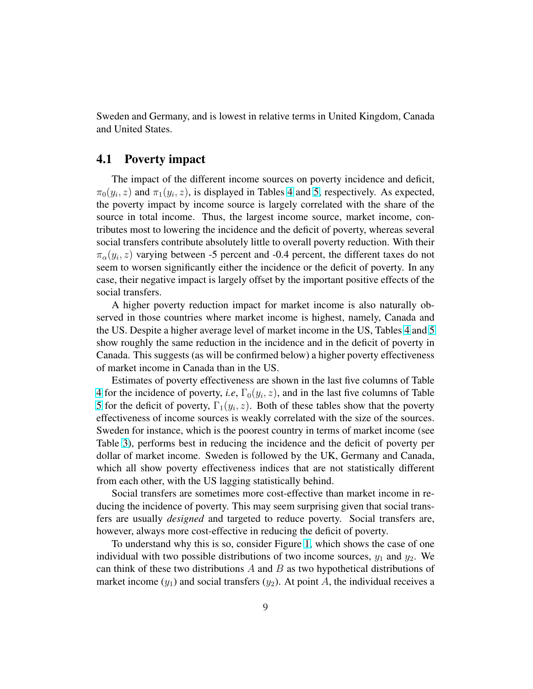Sweden and Germany, and is lowest in relative terms in United Kingdom, Canada and United States.

### 4.1 Poverty impact

The impact of the different income sources on poverty incidence and deficit,  $\pi_0(y_i, z)$  and  $\pi_1(y_i, z)$ , is displayed in Tables [4](#page-17-0) and [5,](#page-18-0) respectively. As expected, the poverty impact by income source is largely correlated with the share of the source in total income. Thus, the largest income source, market income, contributes most to lowering the incidence and the deficit of poverty, whereas several social transfers contribute absolutely little to overall poverty reduction. With their  $\pi_{\alpha}(y_i, z)$  varying between -5 percent and -0.4 percent, the different taxes do not seem to worsen significantly either the incidence or the deficit of poverty. In any case, their negative impact is largely offset by the important positive effects of the social transfers.

A higher poverty reduction impact for market income is also naturally observed in those countries where market income is highest, namely, Canada and the US. Despite a higher average level of market income in the US, Tables [4](#page-17-0) and [5](#page-18-0) show roughly the same reduction in the incidence and in the deficit of poverty in Canada. This suggests (as will be confirmed below) a higher poverty effectiveness of market income in Canada than in the US.

Estimates of poverty effectiveness are shown in the last five columns of Table [4](#page-17-0) for the incidence of poverty, *i.e*,  $\Gamma_0(y_i, z)$ , and in the last five columns of Table [5](#page-18-0) for the deficit of poverty,  $\Gamma_1(y_i, z)$ . Both of these tables show that the poverty effectiveness of income sources is weakly correlated with the size of the sources. Sweden for instance, which is the poorest country in terms of market income (see Table [3\)](#page-16-0), performs best in reducing the incidence and the deficit of poverty per dollar of market income. Sweden is followed by the UK, Germany and Canada, which all show poverty effectiveness indices that are not statistically different from each other, with the US lagging statistically behind.

Social transfers are sometimes more cost-effective than market income in reducing the incidence of poverty. This may seem surprising given that social transfers are usually *designed* and targeted to reduce poverty. Social transfers are, however, always more cost-effective in reducing the deficit of poverty.

To understand why this is so, consider Figure [1,](#page-19-0) which shows the case of one individual with two possible distributions of two income sources,  $y_1$  and  $y_2$ . We can think of these two distributions  $A$  and  $B$  as two hypothetical distributions of market income  $(y_1)$  and social transfers  $(y_2)$ . At point A, the individual receives a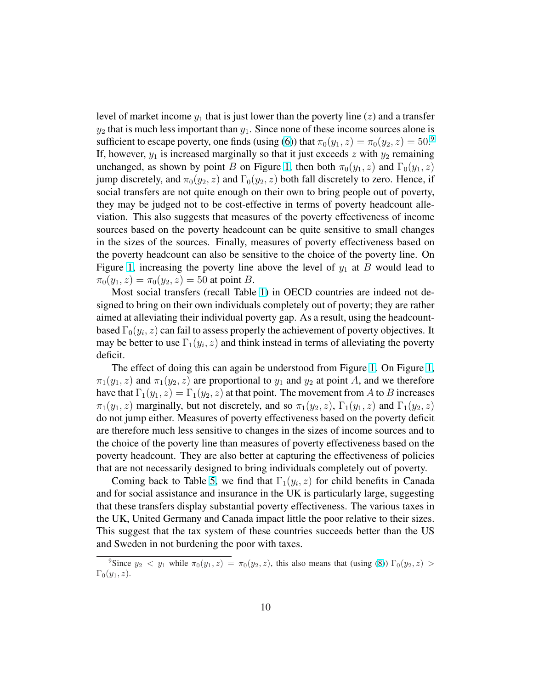level of market income  $y_1$  that is just lower than the poverty line (z) and a transfer  $y_2$  that is much less important than  $y_1$ . Since none of these income sources alone is sufficient to escape poverty, one finds (using [\(6\)](#page-5-0)) that  $\pi_0(y_1, z) = \pi_0(y_2, z) = 50.9$ If, however,  $y_1$  is increased marginally so that it just exceeds z with  $y_2$  remaining unchanged, as shown by point B on Figure [1,](#page-19-0) then both  $\pi_0(y_1, z)$  and  $\Gamma_0(y_1, z)$ jump discretely, and  $\pi_0(y_2, z)$  and  $\Gamma_0(y_2, z)$  both fall discretely to zero. Hence, if social transfers are not quite enough on their own to bring people out of poverty, they may be judged not to be cost-effective in terms of poverty headcount alleviation. This also suggests that measures of the poverty effectiveness of income sources based on the poverty headcount can be quite sensitive to small changes in the sizes of the sources. Finally, measures of poverty effectiveness based on the poverty headcount can also be sensitive to the choice of the poverty line. On Figure [1,](#page-19-0) increasing the poverty line above the level of  $y_1$  at B would lead to  $\pi_0(y_1, z) = \pi_0(y_2, z) = 50$  at point B.

Most social transfers (recall Table [1\)](#page-14-0) in OECD countries are indeed not designed to bring on their own individuals completely out of poverty; they are rather aimed at alleviating their individual poverty gap. As a result, using the headcountbased  $\Gamma_0(y_i, z)$  can fail to assess properly the achievement of poverty objectives. It may be better to use  $\Gamma_1(y_i, z)$  and think instead in terms of alleviating the poverty deficit.

The effect of doing this can again be understood from Figure [1.](#page-19-0) On Figure [1,](#page-19-0)  $\pi_1(y_1, z)$  and  $\pi_1(y_2, z)$  are proportional to  $y_1$  and  $y_2$  at point A, and we therefore have that  $\Gamma_1(y_1, z) = \Gamma_1(y_2, z)$  at that point. The movement from A to B increases  $\pi_1(y_1, z)$  marginally, but not discretely, and so  $\pi_1(y_2, z)$ ,  $\Gamma_1(y_1, z)$  and  $\Gamma_1(y_2, z)$ do not jump either. Measures of poverty effectiveness based on the poverty deficit are therefore much less sensitive to changes in the sizes of income sources and to the choice of the poverty line than measures of poverty effectiveness based on the poverty headcount. They are also better at capturing the effectiveness of policies that are not necessarily designed to bring individuals completely out of poverty.

Coming back to Table [5,](#page-18-0) we find that  $\Gamma_1(y_i, z)$  for child benefits in Canada and for social assistance and insurance in the UK is particularly large, suggesting that these transfers display substantial poverty effectiveness. The various taxes in the UK, United Germany and Canada impact little the poor relative to their sizes. This suggest that the tax system of these countries succeeds better than the US and Sweden in not burdening the poor with taxes.

<sup>&</sup>lt;sup>9</sup>Since  $y_2 < y_1$  while  $\pi_0(y_1, z) = \pi_0(y_2, z)$ , this also means that (using [\(8\)](#page-6-0))  $\Gamma_0(y_2, z)$  $\Gamma_0(y_1, z)$ .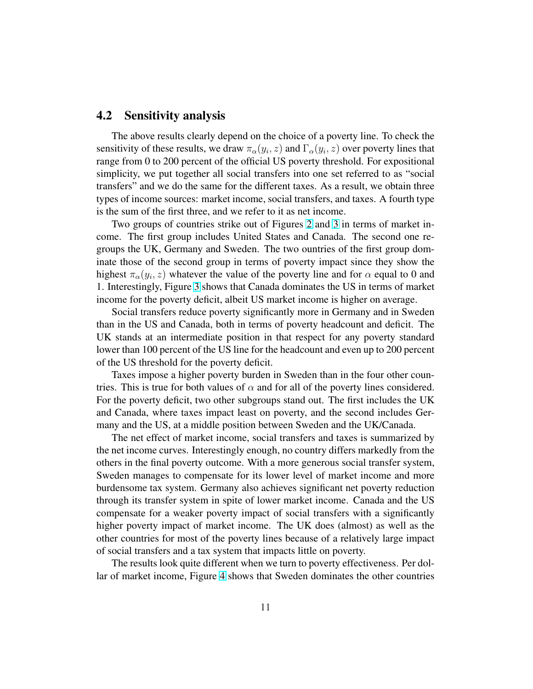#### <span id="page-10-0"></span>4.2 Sensitivity analysis

The above results clearly depend on the choice of a poverty line. To check the sensitivity of these results, we draw  $\pi_{\alpha}(y_i, z)$  and  $\Gamma_{\alpha}(y_i, z)$  over poverty lines that range from 0 to 200 percent of the official US poverty threshold. For expositional simplicity, we put together all social transfers into one set referred to as "social transfers" and we do the same for the different taxes. As a result, we obtain three types of income sources: market income, social transfers, and taxes. A fourth type is the sum of the first three, and we refer to it as net income.

Two groups of countries strike out of Figures [2](#page-20-0) and [3](#page-21-0) in terms of market income. The first group includes United States and Canada. The second one regroups the UK, Germany and Sweden. The two ountries of the first group dominate those of the second group in terms of poverty impact since they show the highest  $\pi_{\alpha}(y_i, z)$  whatever the value of the poverty line and for  $\alpha$  equal to 0 and 1. Interestingly, Figure [3](#page-21-0) shows that Canada dominates the US in terms of market income for the poverty deficit, albeit US market income is higher on average.

Social transfers reduce poverty significantly more in Germany and in Sweden than in the US and Canada, both in terms of poverty headcount and deficit. The UK stands at an intermediate position in that respect for any poverty standard lower than 100 percent of the US line for the headcount and even up to 200 percent of the US threshold for the poverty deficit.

Taxes impose a higher poverty burden in Sweden than in the four other countries. This is true for both values of  $\alpha$  and for all of the poverty lines considered. For the poverty deficit, two other subgroups stand out. The first includes the UK and Canada, where taxes impact least on poverty, and the second includes Germany and the US, at a middle position between Sweden and the UK/Canada.

The net effect of market income, social transfers and taxes is summarized by the net income curves. Interestingly enough, no country differs markedly from the others in the final poverty outcome. With a more generous social transfer system, Sweden manages to compensate for its lower level of market income and more burdensome tax system. Germany also achieves significant net poverty reduction through its transfer system in spite of lower market income. Canada and the US compensate for a weaker poverty impact of social transfers with a significantly higher poverty impact of market income. The UK does (almost) as well as the other countries for most of the poverty lines because of a relatively large impact of social transfers and a tax system that impacts little on poverty.

The results look quite different when we turn to poverty effectiveness. Per dollar of market income, Figure [4](#page-22-0) shows that Sweden dominates the other countries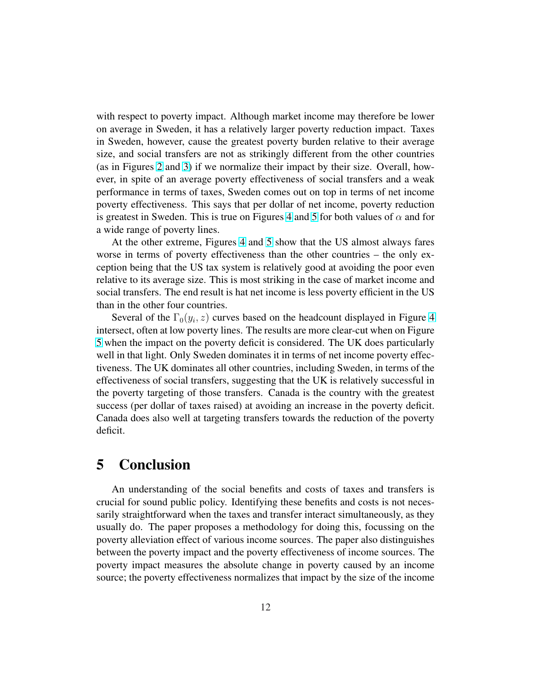<span id="page-11-0"></span>with respect to poverty impact. Although market income may therefore be lower on average in Sweden, it has a relatively larger poverty reduction impact. Taxes in Sweden, however, cause the greatest poverty burden relative to their average size, and social transfers are not as strikingly different from the other countries (as in Figures [2](#page-20-0) and [3\)](#page-21-0) if we normalize their impact by their size. Overall, however, in spite of an average poverty effectiveness of social transfers and a weak performance in terms of taxes, Sweden comes out on top in terms of net income poverty effectiveness. This says that per dollar of net income, poverty reduction is greatest in Sweden. This is true on Figures [4](#page-22-0) and [5](#page-23-0) for both values of  $\alpha$  and for a wide range of poverty lines.

At the other extreme, Figures [4](#page-22-0) and [5](#page-23-0) show that the US almost always fares worse in terms of poverty effectiveness than the other countries – the only exception being that the US tax system is relatively good at avoiding the poor even relative to its average size. This is most striking in the case of market income and social transfers. The end result is hat net income is less poverty efficient in the US than in the other four countries.

Several of the  $\Gamma_0(y_i, z)$  curves based on the headcount displayed in Figure [4](#page-22-0) intersect, often at low poverty lines. The results are more clear-cut when on Figure [5](#page-23-0) when the impact on the poverty deficit is considered. The UK does particularly well in that light. Only Sweden dominates it in terms of net income poverty effectiveness. The UK dominates all other countries, including Sweden, in terms of the effectiveness of social transfers, suggesting that the UK is relatively successful in the poverty targeting of those transfers. Canada is the country with the greatest success (per dollar of taxes raised) at avoiding an increase in the poverty deficit. Canada does also well at targeting transfers towards the reduction of the poverty deficit.

## 5 Conclusion

An understanding of the social benefits and costs of taxes and transfers is crucial for sound public policy. Identifying these benefits and costs is not necessarily straightforward when the taxes and transfer interact simultaneously, as they usually do. The paper proposes a methodology for doing this, focussing on the poverty alleviation effect of various income sources. The paper also distinguishes between the poverty impact and the poverty effectiveness of income sources. The poverty impact measures the absolute change in poverty caused by an income source; the poverty effectiveness normalizes that impact by the size of the income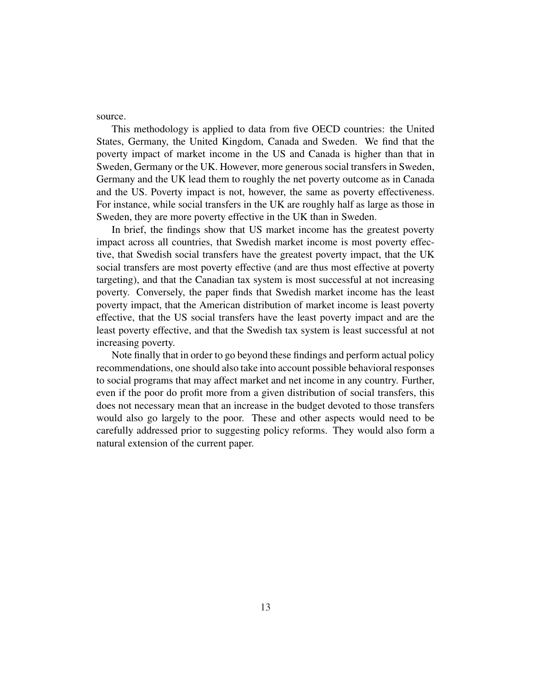source.

This methodology is applied to data from five OECD countries: the United States, Germany, the United Kingdom, Canada and Sweden. We find that the poverty impact of market income in the US and Canada is higher than that in Sweden, Germany or the UK. However, more generous social transfers in Sweden, Germany and the UK lead them to roughly the net poverty outcome as in Canada and the US. Poverty impact is not, however, the same as poverty effectiveness. For instance, while social transfers in the UK are roughly half as large as those in Sweden, they are more poverty effective in the UK than in Sweden.

In brief, the findings show that US market income has the greatest poverty impact across all countries, that Swedish market income is most poverty effective, that Swedish social transfers have the greatest poverty impact, that the UK social transfers are most poverty effective (and are thus most effective at poverty targeting), and that the Canadian tax system is most successful at not increasing poverty. Conversely, the paper finds that Swedish market income has the least poverty impact, that the American distribution of market income is least poverty effective, that the US social transfers have the least poverty impact and are the least poverty effective, and that the Swedish tax system is least successful at not increasing poverty.

Note finally that in order to go beyond these findings and perform actual policy recommendations, one should also take into account possible behavioral responses to social programs that may affect market and net income in any country. Further, even if the poor do profit more from a given distribution of social transfers, this does not necessary mean that an increase in the budget devoted to those transfers would also go largely to the poor. These and other aspects would need to be carefully addressed prior to suggesting policy reforms. They would also form a natural extension of the current paper.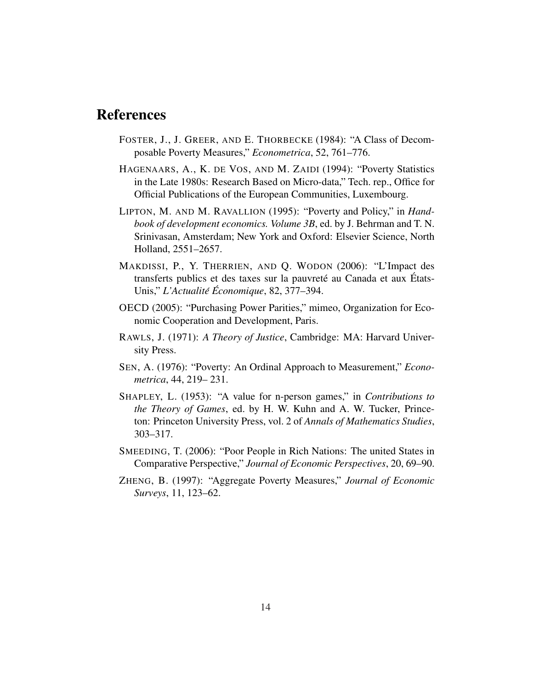## <span id="page-13-0"></span>References

- FOSTER, J., J. GREER, AND E. THORBECKE (1984): "A Class of Decomposable Poverty Measures," *Econometrica*, 52, 761–776.
- HAGENAARS, A., K. DE VOS, AND M. ZAIDI (1994): "Poverty Statistics in the Late 1980s: Research Based on Micro-data," Tech. rep., Office for Official Publications of the European Communities, Luxembourg.
- LIPTON, M. AND M. RAVALLION (1995): "Poverty and Policy," in *Handbook of development economics. Volume 3B*, ed. by J. Behrman and T. N. Srinivasan, Amsterdam; New York and Oxford: Elsevier Science, North Holland, 2551–2657.
- MAKDISSI, P., Y. THERRIEN, AND Q. WODON (2006): "L'Impact des transferts publics et des taxes sur la pauvreté au Canada et aux États-Unis," *L'Actualite´ Economique ´* , 82, 377–394.
- OECD (2005): "Purchasing Power Parities," mimeo, Organization for Economic Cooperation and Development, Paris.
- RAWLS, J. (1971): *A Theory of Justice*, Cambridge: MA: Harvard University Press.
- SEN, A. (1976): "Poverty: An Ordinal Approach to Measurement," *Econometrica*, 44, 219– 231.
- SHAPLEY, L. (1953): "A value for n-person games," in *Contributions to the Theory of Games*, ed. by H. W. Kuhn and A. W. Tucker, Princeton: Princeton University Press, vol. 2 of *Annals of Mathematics Studies*, 303–317.
- SMEEDING, T. (2006): "Poor People in Rich Nations: The united States in Comparative Perspective," *Journal of Economic Perspectives*, 20, 69–90.
- ZHENG, B. (1997): "Aggregate Poverty Measures," *Journal of Economic Surveys*, 11, 123–62.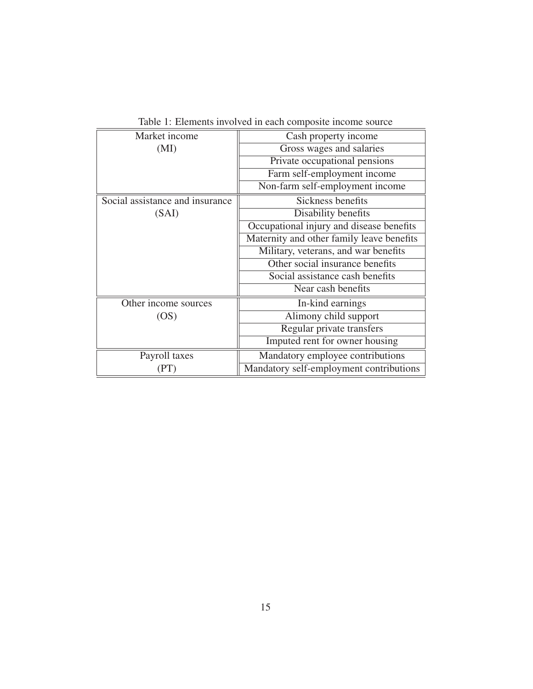<span id="page-14-0"></span>

| Market income                   | Cash property income                      |
|---------------------------------|-------------------------------------------|
| (MI)                            | Gross wages and salaries                  |
|                                 | Private occupational pensions             |
|                                 | Farm self-employment income               |
|                                 | Non-farm self-employment income           |
| Social assistance and insurance | Sickness benefits                         |
| (SAI)                           | Disability benefits                       |
|                                 | Occupational injury and disease benefits  |
|                                 | Maternity and other family leave benefits |
|                                 | Military, veterans, and war benefits      |
|                                 | Other social insurance benefits           |
|                                 | Social assistance cash benefits           |
|                                 | Near cash benefits                        |
| Other income sources            | In-kind earnings                          |
| (OS)                            | Alimony child support                     |
|                                 | Regular private transfers                 |
|                                 | Imputed rent for owner housing            |
| Payroll taxes                   | Mandatory employee contributions          |
| P <sub>1</sub>                  | Mandatory self-employment contributions   |

Table 1: Elements involved in each composite income source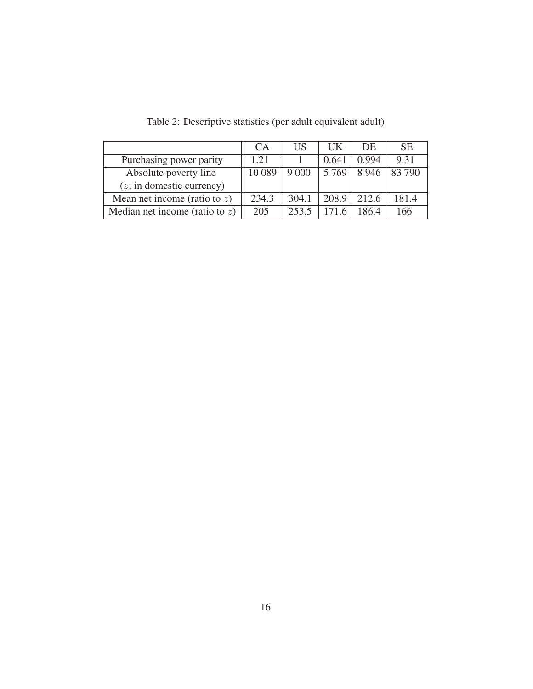<span id="page-15-0"></span>

|                                    | CA     | US    | UK      | DE.   | <b>SE</b> |
|------------------------------------|--------|-------|---------|-------|-----------|
| Purchasing power parity            | 1.21   |       | 0.641   | 0.994 | 9.31      |
| Absolute poverty line              | 10 089 |       | 5 7 6 9 | 8946  | 83 790    |
| $(z; \text{in domestic currency})$ |        |       |         |       |           |
| Mean net income (ratio to $z$ )    | 234.3  | 304.1 | 208.9   | 212.6 | 181.4     |
| Median net income (ratio to $z$ )  | 205    | 253.5 |         | 186.4 | 166       |

Table 2: Descriptive statistics (per adult equivalent adult)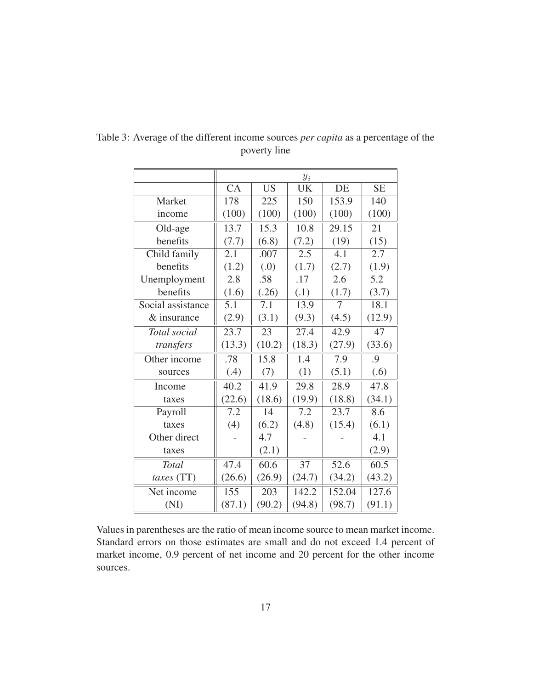|                   |        |           | $\overline{y}_i$ |        |           |
|-------------------|--------|-----------|------------------|--------|-----------|
|                   | CA     | <b>US</b> | <b>UK</b>        | DE     | <b>SE</b> |
| Market            | 178    | 225       | 150              | 153.9  | 140       |
| income            | (100)  | (100)     | (100)            | (100)  | (100)     |
| Old-age           | 13.7   | 15.3      | 10.8             | 29.15  | 21        |
| benefits          | (7.7)  | (6.8)     | (7.2)            | (19)   | (15)      |
| Child family      | 2.1    | .007      | 2.5              | 4.1    | 2.7       |
| benefits          | (1.2)  | (0.)      | (1.7)            | (2.7)  | (1.9)     |
| Unemployment      | 2.8    | .58       | .17              | 2.6    | 5.2       |
| benefits          | (1.6)  | (.26)     | (.1)             | (1.7)  | (3.7)     |
| Social assistance | 5.1    | 7.1       | 13.9             | 7      | 18.1      |
| & insurance       | (2.9)  | (3.1)     | (9.3)            | (4.5)  | (12.9)    |
| Total social      | 23.7   | 23        | 27.4             | 42.9   | 47        |
| transfers         | (13.3) | (10.2)    | (18.3)           | (27.9) | (33.6)    |
| Other income      | .78    | 15.8      | 1.4              | 7.9    | .9        |
| sources           | (.4)   | (7)       | (1)              | (5.1)  | (.6)      |
| Income            | 40.2   | 41.9      | 29.8             | 28.9   | 47.8      |
| taxes             | (22.6) | (18.6)    | (19.9)           | (18.8) | (34.1)    |
| Payroll           | 7.2    | 14        | 7.2              | 23.7   | 8.6       |
| taxes             | (4)    | (6.2)     | (4.8)            | (15.4) | (6.1)     |
| Other direct      |        | 4.7       |                  |        | 4.1       |
| taxes             |        | (2.1)     |                  |        | (2.9)     |
| <b>Total</b>      | 47.4   | 60.6      | 37               | 52.6   | 60.5      |
| taxes (TT)        | (26.6) | (26.9)    | (24.7)           | (34.2) | (43.2)    |
| Net income        | 155    | 203       | 142.2            | 152.04 | 127.6     |
| (NI)              | (87.1) | (90.2)    | (94.8)           | (98.7) | (91.1)    |

<span id="page-16-0"></span>Table 3: Average of the different income sources *per capita* as a percentage of the poverty line

Values in parentheses are the ratio of mean income source to mean market income. Standard errors on those estimates are small and do not exceed 1.4 percent of market income, 0.9 percent of net income and 20 percent for the other income sources.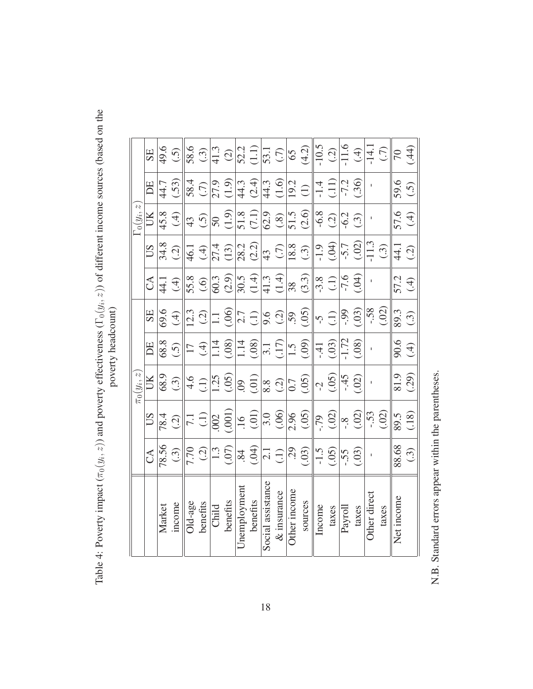|                   |                     |                | $\pi_0(y_i, z$                             |                 |                         |                                                                                                                                                                                                                                                                                                                                                                                                                                                                  |                         | $\Gamma_0(y_i, z$            |                   |                       |
|-------------------|---------------------|----------------|--------------------------------------------|-----------------|-------------------------|------------------------------------------------------------------------------------------------------------------------------------------------------------------------------------------------------------------------------------------------------------------------------------------------------------------------------------------------------------------------------------------------------------------------------------------------------------------|-------------------------|------------------------------|-------------------|-----------------------|
|                   | $\mathcal{L}$       | SU             | UK                                         | BE              | SE                      | $\mathfrak{S}% _{A}^{\ast}=\mathfrak{S}_{A}\!\!\left( a,b\right) ,\ \mathfrak{S}_{A}\!\!\left( a,b\right) ,\ \mathfrak{S}_{A}\!\!\left( a,b\right) ,\ \mathfrak{S}_{A}\!\!\left( a,b\right) ,\ \mathfrak{S}_{A}\!\!\left( a,b\right) ,\ \mathfrak{S}_{A}\!\!\left( a,b\right) ,\ \mathfrak{S}_{A}\!\!\left( a,b\right) ,\ \mathfrak{S}_{A}\!\!\left( a,b\right) ,\ \mathfrak{S}_{A}\!\!\left( a,b\right) ,\ \mathfrak{S}_{A}\!\!\left( a,b\right) ,\ \mathfrak{$ | <b>SU</b>               |                              | DЕ                | SE                    |
| Market            | 78.56               | 78.4           | 68.9                                       | 68.8            | 69.6                    | $\frac{1}{4}$                                                                                                                                                                                                                                                                                                                                                                                                                                                    | 34.8                    | 45.8                         | 44.7              | 49.6                  |
| income            | $\widehat{C}$       | $\widehat{C}$  | $\widehat{C}$                              | $\widetilde{S}$ | $\overline{4}$          | $\overline{f}$                                                                                                                                                                                                                                                                                                                                                                                                                                                   | $\widehat{\mathcal{G}}$ | $\overline{4}$               | (.53)             | $\widehat{S}$         |
| Old-age           | 7.70                | $\overline{5}$ | 4.6                                        | $\overline{17}$ | 12.3                    | 55.8                                                                                                                                                                                                                                                                                                                                                                                                                                                             | 46.]                    | 43                           | 58.4              | 58.6                  |
| benefits          | $\widetilde{C}$     | $\bigoplus$    | $\bigoplus$                                | $\overline{f}$  | $\widehat{\mathcal{C}}$ | $\odot$                                                                                                                                                                                                                                                                                                                                                                                                                                                          | $\overline{4}$          | $\widetilde{\left(5\right)}$ | $\bigodot$        | $\widetilde{(\cdot)}$ |
| Child             | 1.3                 | 002            | 1.25                                       | 1.14            | $\Box$                  | 60.3                                                                                                                                                                                                                                                                                                                                                                                                                                                             | 27.4                    | 50                           | 27.9              | 41.3                  |
| benefits          | (0)                 | (.001)         | (.05)                                      | (.08)           | (.06)                   | (2.9)                                                                                                                                                                                                                                                                                                                                                                                                                                                            | (13)                    | (1.9)                        | (1.9)             | $\odot$               |
| Unemployment      | $\ddot{\mathbf{8}}$ |                |                                            | $1.14$<br>(.08) |                         | 30.5                                                                                                                                                                                                                                                                                                                                                                                                                                                             | 28.2                    | 51.8                         | 44.3              |                       |
| benefits          | (0.04)              | (0.01)         | (10.)                                      |                 | $\frac{27}{21}$         | (1.4)                                                                                                                                                                                                                                                                                                                                                                                                                                                            | (2.2)                   | (7.1)                        | (2.4)             | $52.2$<br>(1.1)       |
| Social assistance | $\overline{c}$      | 3.0            |                                            | 3.1             |                         | 41.3                                                                                                                                                                                                                                                                                                                                                                                                                                                             | 43                      | 62.9                         | 44.3              |                       |
| $\&$ insurance    | $\bigoplus$         | (.06)          | $\begin{array}{c} 8.8 \\ (-2) \end{array}$ | (17)            | $9.6$<br>(.2)           | (1.4)                                                                                                                                                                                                                                                                                                                                                                                                                                                            | (7)                     | $(\dot{.}8)$                 | (1.6)             | 53.1                  |
| Other income      | $\overline{c}$      | 2.96           | 0.7                                        | $\frac{5}{1.5}$ | 59                      | 38                                                                                                                                                                                                                                                                                                                                                                                                                                                               | 18.8                    | 51.5                         | 19.2              | $\overline{65}$       |
| sources           | (03)                | (05)           | (.05)                                      | (0.0)           | (.05)                   | (3.3)                                                                                                                                                                                                                                                                                                                                                                                                                                                            | $\odot$                 | (2.6)                        | $\bigoplus$       | (4.2)                 |
| Income            | $-1.5$              | $-79$          |                                            | $-41$           | $\sum_{i}$              | $-3.8$                                                                                                                                                                                                                                                                                                                                                                                                                                                           | $-1.9$                  | $-6.8$                       | $-1.4$            | $-10.5$               |
| taxes             | (05)                | (.02)          | $\frac{2}{\sqrt{5}}$                       | (.03)           | (f)                     | $\bigoplus$                                                                                                                                                                                                                                                                                                                                                                                                                                                      | (0.04)                  | $\widetilde{C}$              | $\left(11\right)$ | $\widetilde{C}$       |
| Payroll           | $-55$               | $8 - 8$        | $-45$                                      | $-1.72$         | <b>66-</b>              | $-7.6$                                                                                                                                                                                                                                                                                                                                                                                                                                                           | $-5.7$                  | $-6.2$                       | $-7.2$            | $-11.6$               |
| taxes             | (.03)               | (.02)          | (50)                                       | (0.8)           | (.03)                   | (50)                                                                                                                                                                                                                                                                                                                                                                                                                                                             | (02)                    | <u>ි</u>                     | (.36)             | $\overline{A}$        |
| Other direct      |                     | $-53$          |                                            |                 | $-58$                   |                                                                                                                                                                                                                                                                                                                                                                                                                                                                  | $-11.3$                 |                              |                   | $-14.$                |
| taxes             |                     | (02)           |                                            |                 | (.02)                   |                                                                                                                                                                                                                                                                                                                                                                                                                                                                  | $\bigodot$              |                              |                   | C)                    |
| Net income        | 88.68               | 89.5           | 81.9                                       | 90.6            | 89.3                    | 57.2                                                                                                                                                                                                                                                                                                                                                                                                                                                             | $\frac{1}{4}$           | 57.6                         | 59.6              | $\sqrt{2}$            |
|                   | (3)                 | (.18)          | (.29)                                      | $\overline{4}$  | (3)                     | $\overline{f}$                                                                                                                                                                                                                                                                                                                                                                                                                                                   | $\widetilde{C}$         | $\overline{f}$               | $\overline{(5)}$  | (44)                  |

<span id="page-17-0"></span>Table 4: Poverty impact  $(\pi_0(y_i, z))$  and poverty effectiveness  $(\Gamma_0(y_i, z))$  of different income sources (based on the powerty head count) Table 4: Poverty impact  $(\pi_0(y_i, z))$  and poverty effectiveness  $(\Gamma_0(y_i, z))$  of different income sources (based on the poverty headcount)

N.B. Standard errors appear within the parentheses. N.B. Standard errors appear within the parentheses.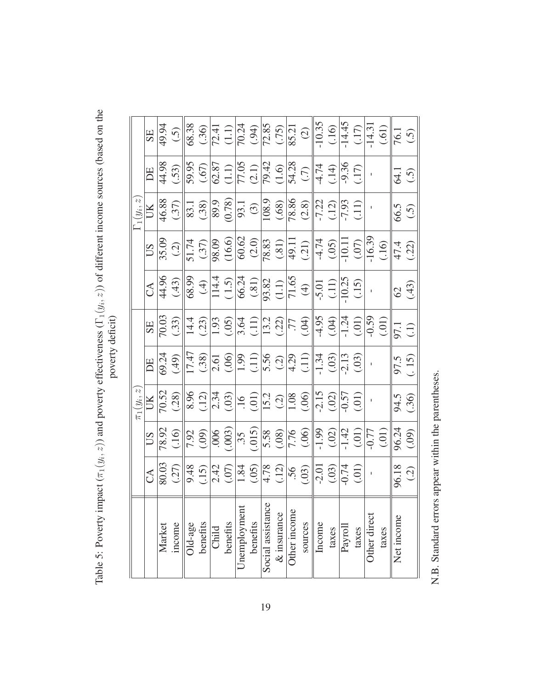|                       |                                                                                                                                                                                                                                                                                                                                                                                                                             |                                                                                                                                                                                                                                                                                                                     | $\pi_1(y_i, z$                                                                                                                        |                                                                                                                                                                            |                                                                                                                                                                                                                                                                              |                                                                                                           |                                                                                                                                               | $\Gamma_1(y_i,z$                                                                                                                                                                                                                                                                                    |                                                                                                                    |                                                                                                                                    |
|-----------------------|-----------------------------------------------------------------------------------------------------------------------------------------------------------------------------------------------------------------------------------------------------------------------------------------------------------------------------------------------------------------------------------------------------------------------------|---------------------------------------------------------------------------------------------------------------------------------------------------------------------------------------------------------------------------------------------------------------------------------------------------------------------|---------------------------------------------------------------------------------------------------------------------------------------|----------------------------------------------------------------------------------------------------------------------------------------------------------------------------|------------------------------------------------------------------------------------------------------------------------------------------------------------------------------------------------------------------------------------------------------------------------------|-----------------------------------------------------------------------------------------------------------|-----------------------------------------------------------------------------------------------------------------------------------------------|-----------------------------------------------------------------------------------------------------------------------------------------------------------------------------------------------------------------------------------------------------------------------------------------------------|--------------------------------------------------------------------------------------------------------------------|------------------------------------------------------------------------------------------------------------------------------------|
|                       | $\mathfrak{S}$                                                                                                                                                                                                                                                                                                                                                                                                              | SU                                                                                                                                                                                                                                                                                                                  |                                                                                                                                       | DE                                                                                                                                                                         |                                                                                                                                                                                                                                                                              |                                                                                                           | $ S_1 $                                                                                                                                       | $ \Xi $                                                                                                                                                                                                                                                                                             | DE                                                                                                                 | $\text{SE}$                                                                                                                        |
| Market                |                                                                                                                                                                                                                                                                                                                                                                                                                             |                                                                                                                                                                                                                                                                                                                     |                                                                                                                                       | $\frac{69.24}{(49)}$                                                                                                                                                       | $\frac{\text{SE}}{70.03}$                                                                                                                                                                                                                                                    | $\frac{CA}{44.96}$                                                                                        |                                                                                                                                               |                                                                                                                                                                                                                                                                                                     | $\frac{44.98}{53}$                                                                                                 |                                                                                                                                    |
| income                | 80.03<br>(.27)                                                                                                                                                                                                                                                                                                                                                                                                              | 78.92<br>(.16)                                                                                                                                                                                                                                                                                                      |                                                                                                                                       |                                                                                                                                                                            |                                                                                                                                                                                                                                                                              |                                                                                                           | $35.09$<br>(.2)                                                                                                                               | 46.88<br>(.37)                                                                                                                                                                                                                                                                                      |                                                                                                                    | $\frac{49.94}{(5)}$                                                                                                                |
| $\overline{Old}$ -age |                                                                                                                                                                                                                                                                                                                                                                                                                             |                                                                                                                                                                                                                                                                                                                     |                                                                                                                                       |                                                                                                                                                                            |                                                                                                                                                                                                                                                                              |                                                                                                           |                                                                                                                                               |                                                                                                                                                                                                                                                                                                     |                                                                                                                    |                                                                                                                                    |
| benefits              |                                                                                                                                                                                                                                                                                                                                                                                                                             |                                                                                                                                                                                                                                                                                                                     |                                                                                                                                       |                                                                                                                                                                            |                                                                                                                                                                                                                                                                              |                                                                                                           | $\frac{51.74}{(.37)}$                                                                                                                         |                                                                                                                                                                                                                                                                                                     |                                                                                                                    |                                                                                                                                    |
| Child                 |                                                                                                                                                                                                                                                                                                                                                                                                                             |                                                                                                                                                                                                                                                                                                                     |                                                                                                                                       |                                                                                                                                                                            |                                                                                                                                                                                                                                                                              |                                                                                                           |                                                                                                                                               |                                                                                                                                                                                                                                                                                                     |                                                                                                                    |                                                                                                                                    |
| benefits              |                                                                                                                                                                                                                                                                                                                                                                                                                             |                                                                                                                                                                                                                                                                                                                     |                                                                                                                                       |                                                                                                                                                                            |                                                                                                                                                                                                                                                                              |                                                                                                           |                                                                                                                                               |                                                                                                                                                                                                                                                                                                     |                                                                                                                    |                                                                                                                                    |
| Unemployment          |                                                                                                                                                                                                                                                                                                                                                                                                                             |                                                                                                                                                                                                                                                                                                                     |                                                                                                                                       |                                                                                                                                                                            |                                                                                                                                                                                                                                                                              |                                                                                                           |                                                                                                                                               |                                                                                                                                                                                                                                                                                                     |                                                                                                                    |                                                                                                                                    |
| benefits              |                                                                                                                                                                                                                                                                                                                                                                                                                             |                                                                                                                                                                                                                                                                                                                     |                                                                                                                                       |                                                                                                                                                                            |                                                                                                                                                                                                                                                                              |                                                                                                           |                                                                                                                                               |                                                                                                                                                                                                                                                                                                     |                                                                                                                    |                                                                                                                                    |
| Social assistance     |                                                                                                                                                                                                                                                                                                                                                                                                                             |                                                                                                                                                                                                                                                                                                                     |                                                                                                                                       |                                                                                                                                                                            |                                                                                                                                                                                                                                                                              |                                                                                                           |                                                                                                                                               |                                                                                                                                                                                                                                                                                                     |                                                                                                                    |                                                                                                                                    |
| $&$ insurance         |                                                                                                                                                                                                                                                                                                                                                                                                                             |                                                                                                                                                                                                                                                                                                                     |                                                                                                                                       |                                                                                                                                                                            |                                                                                                                                                                                                                                                                              |                                                                                                           |                                                                                                                                               |                                                                                                                                                                                                                                                                                                     |                                                                                                                    |                                                                                                                                    |
| Other income          |                                                                                                                                                                                                                                                                                                                                                                                                                             |                                                                                                                                                                                                                                                                                                                     |                                                                                                                                       |                                                                                                                                                                            |                                                                                                                                                                                                                                                                              |                                                                                                           |                                                                                                                                               |                                                                                                                                                                                                                                                                                                     |                                                                                                                    |                                                                                                                                    |
| sources               | $\frac{8}{9}. \frac{4}{1}. \frac{6}{1}. \frac{6}{1}. \frac{6}{1}. \frac{6}{1}. \frac{6}{1}. \frac{6}{1}. \frac{6}{1}. \frac{6}{1}. \frac{6}{1}. \frac{6}{1}. \frac{6}{1}. \frac{6}{1}. \frac{6}{1}. \frac{6}{1}. \frac{6}{1}. \frac{6}{1}. \frac{6}{1}. \frac{6}{1}. \frac{6}{1}. \frac{6}{1}. \frac{6}{1}. \frac{6}{1}. \frac{6}{1}. \frac{6}{1}. \frac{6}{1}. \frac{6}{1}. \frac{6}{1}. \frac{6}{1}. \frac{6}{1}. \frac{$ | $\frac{1}{2}$ $\frac{1}{2}$ $\frac{1}{2}$ $\frac{1}{2}$ $\frac{1}{2}$ $\frac{1}{2}$ $\frac{1}{2}$ $\frac{1}{2}$ $\frac{1}{2}$ $\frac{1}{2}$ $\frac{1}{2}$ $\frac{1}{2}$ $\frac{1}{2}$ $\frac{1}{2}$ $\frac{1}{2}$ $\frac{1}{2}$ $\frac{1}{2}$ $\frac{1}{2}$ $\frac{1}{2}$ $\frac{1}{2}$ $\frac{1}{2}$ $\frac{1}{2}$ | $\frac{8}{8}$<br>$\frac{(12)}{(134)}$<br>$\frac{(36)}{(154)}$<br>$\frac{(12)}{(154)}$<br>$\frac{(12)}{(154)}$<br>$\frac{(12)}{(154)}$ | $\frac{17}{17}$ , $\frac{47}{17}$ , $\frac{38}{17}$ , $\frac{6}{17}$ , $\frac{6}{17}$ , $\frac{6}{17}$ , $\frac{6}{17}$ , $\frac{6}{17}$ , $\frac{6}{17}$ , $\frac{6}{17}$ | $\frac{14.4}{1.3}$<br>$\frac{(23)}{1.93}$<br>$\frac{(65)}{3.64}$<br>$\frac{(1)}{13.2}$<br>$\frac{(2)}{17}$                                                                                                                                                                   | $\frac{(4)}{68.99}$ $\frac{(4)}{114.4}$ $\frac{(1.5)}{66.24}$ $\frac{(8.1)}{93.82}$ $\frac{(1.1)}{71.65}$ | 98.09<br>$(16.6)$<br>$(16.6)$<br>$(2.0)$<br>$(2.0)$<br>$(3.83)$<br>$(3.1)$<br>$(4.7)$<br>$(5.0)$<br>$(16.6)$<br>$(3.0)$<br>$(3.1)$<br>$(4.0)$ | $\begin{array}{r} 1.38 \\ 89.9 \\ 89.9 \\ 108.9 \\ 108.9 \\ 108.9 \\ 108.9 \\ 108.8 \\ 108.8 \\ 108.8 \\ 108.8 \\ 108.8 \\ 108.8 \\ 108.8 \\ 108.8 \\ 108.8 \\ 108.8 \\ 108.8 \\ 108.8 \\ 108.8 \\ 108.8 \\ 108.8 \\ 108.8 \\ 108.8 \\ 108.8 \\ 108.8 \\ 108.8 \\ 108.8 \\ 108.8 \\ 108.8 \\ 108.8$ | $\frac{59.95}{(67)}$ $\frac{(67)}{(2.87)}$ $\frac{(1.1)}{(71.05)}$ $\frac{(1.1)}{(71.05)}$ $\frac{(1.0)}{(71.05)}$ | $\frac{\sqrt{38}}{68.30}$ $\frac{(36)}{72.41}$ $\frac{(11)}{72.41}$ $\frac{(36)}{72.41}$ $\frac{(36)}{72.41}$ $\frac{(36)}{72.41}$ |
| Income                |                                                                                                                                                                                                                                                                                                                                                                                                                             |                                                                                                                                                                                                                                                                                                                     |                                                                                                                                       |                                                                                                                                                                            |                                                                                                                                                                                                                                                                              |                                                                                                           |                                                                                                                                               |                                                                                                                                                                                                                                                                                                     |                                                                                                                    |                                                                                                                                    |
| taxes                 | $\frac{1}{2.01}$<br>(.03)<br>(.01)                                                                                                                                                                                                                                                                                                                                                                                          | $\frac{1}{1}$ , $\frac{1}{2}$ , $\frac{1}{2}$ , $\frac{1}{2}$ , $\frac{1}{2}$ , $\frac{1}{2}$ , $\frac{1}{2}$ , $\frac{1}{2}$ , $\frac{1}{2}$ , $\frac{1}{2}$                                                                                                                                                       | $\frac{15}{(0.02)}$<br>(.02)<br>(.01)                                                                                                 | $\frac{1}{1.34}$<br>(.03)<br>(.03)                                                                                                                                         | $\frac{4}{1}$<br>$\frac{3}{1}$<br>$\frac{3}{1}$<br>$\frac{1}{2}$<br>$\frac{1}{2}$<br>$\frac{1}{2}$<br>$\frac{1}{2}$<br>$\frac{1}{2}$<br>$\frac{1}{2}$<br>$\frac{1}{2}$<br>$\frac{1}{2}$<br>$\frac{1}{2}$<br>$\frac{1}{2}$<br>$\frac{1}{2}$<br>$\frac{1}{2}$<br>$\frac{1}{2}$ | $\frac{5.01}{\frac{(.11)}{.10.25}}$                                                                       |                                                                                                                                               | $\frac{22}{7.22}$<br>(.12)<br>(.11)                                                                                                                                                                                                                                                                 | $\frac{4.74}{(1.19)}$<br>$\frac{9.36}{1.74}$                                                                       | $\frac{10.35}{(10.45)}$ $\frac{(1.5)}{24.45}$                                                                                      |
| Payroll               |                                                                                                                                                                                                                                                                                                                                                                                                                             |                                                                                                                                                                                                                                                                                                                     |                                                                                                                                       |                                                                                                                                                                            |                                                                                                                                                                                                                                                                              |                                                                                                           |                                                                                                                                               |                                                                                                                                                                                                                                                                                                     |                                                                                                                    |                                                                                                                                    |
| taxes                 |                                                                                                                                                                                                                                                                                                                                                                                                                             |                                                                                                                                                                                                                                                                                                                     |                                                                                                                                       |                                                                                                                                                                            |                                                                                                                                                                                                                                                                              |                                                                                                           |                                                                                                                                               |                                                                                                                                                                                                                                                                                                     |                                                                                                                    |                                                                                                                                    |
| Other direct          |                                                                                                                                                                                                                                                                                                                                                                                                                             |                                                                                                                                                                                                                                                                                                                     |                                                                                                                                       |                                                                                                                                                                            |                                                                                                                                                                                                                                                                              |                                                                                                           | $(01)$ .                                                                                                                                      |                                                                                                                                                                                                                                                                                                     |                                                                                                                    |                                                                                                                                    |
| taxes                 |                                                                                                                                                                                                                                                                                                                                                                                                                             |                                                                                                                                                                                                                                                                                                                     |                                                                                                                                       |                                                                                                                                                                            |                                                                                                                                                                                                                                                                              |                                                                                                           |                                                                                                                                               |                                                                                                                                                                                                                                                                                                     |                                                                                                                    | (.61)                                                                                                                              |
| Net income            |                                                                                                                                                                                                                                                                                                                                                                                                                             | 96.24                                                                                                                                                                                                                                                                                                               | 94.5<br>(.36)                                                                                                                         |                                                                                                                                                                            | 97.1<br>(.1)                                                                                                                                                                                                                                                                 |                                                                                                           | $\frac{47.4}{(.22)}$                                                                                                                          |                                                                                                                                                                                                                                                                                                     |                                                                                                                    | $\sqrt{6.1}$                                                                                                                       |
|                       | 96.18<br>(.2)                                                                                                                                                                                                                                                                                                                                                                                                               |                                                                                                                                                                                                                                                                                                                     |                                                                                                                                       | 97.5<br>(. 15)                                                                                                                                                             |                                                                                                                                                                                                                                                                              | $rac{62}{(43)}$                                                                                           |                                                                                                                                               | 66.5<br>(.5)                                                                                                                                                                                                                                                                                        | $\overline{4.5}$                                                                                                   |                                                                                                                                    |

<span id="page-18-0"></span>Table 5: Poverty impact  $(\pi_1(y_i, z))$  and poverty effectiveness  $(\Gamma_1(y_i, z))$  of different income sources (based on the powerty deficit) Table 5: Poverty impact  $(\pi_1(y_i, z))$  and poverty effectiveness  $(\Gamma_1(y_i, z))$  of different income sources (based on the poverty deficit)

N.B. Standard errors appear within the parentheses. N.B. Standard errors appear within the parentheses.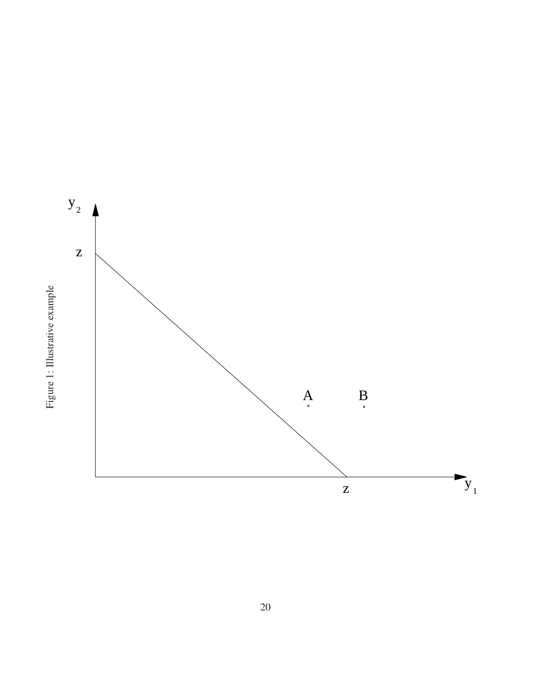<span id="page-19-0"></span>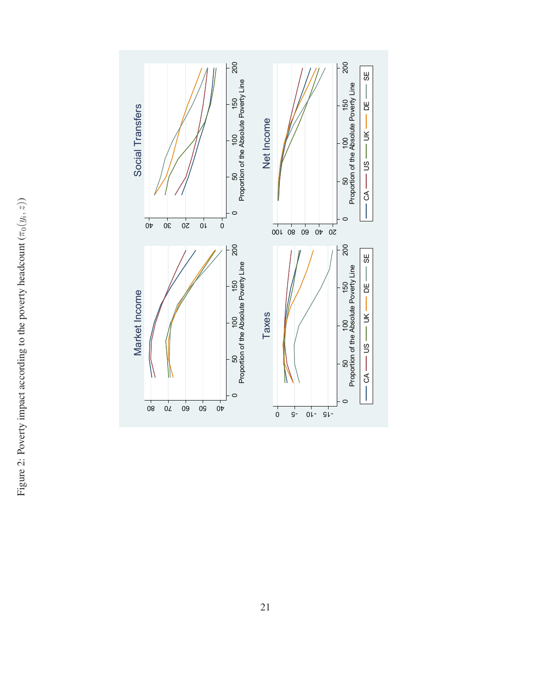<span id="page-20-0"></span>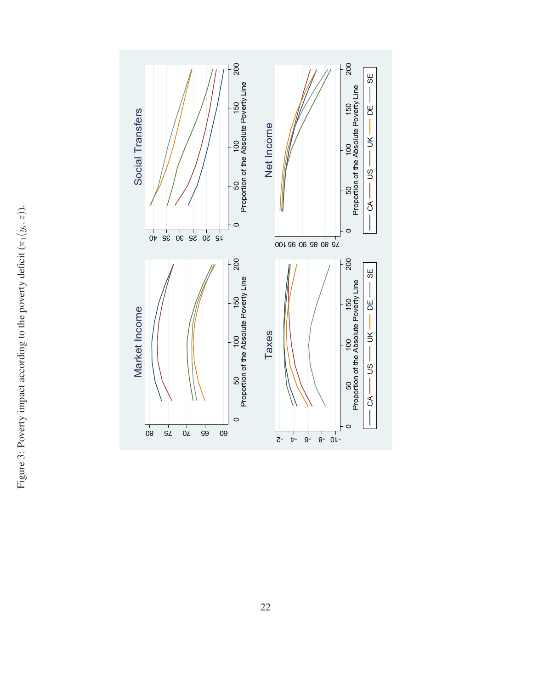<span id="page-21-0"></span>

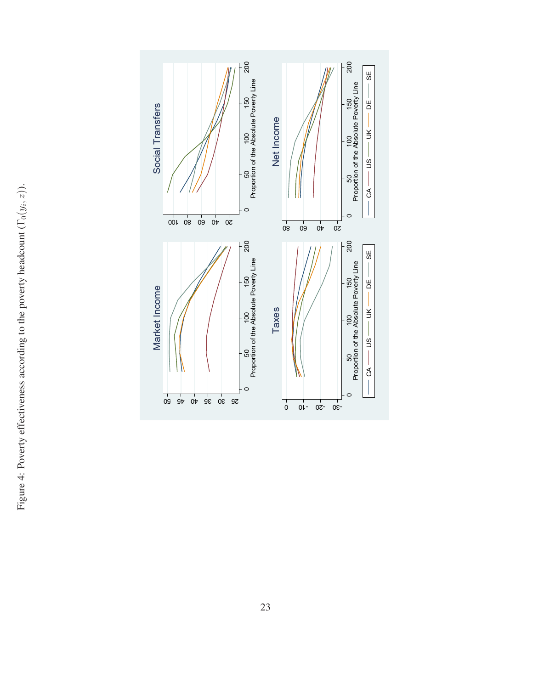<span id="page-22-0"></span>